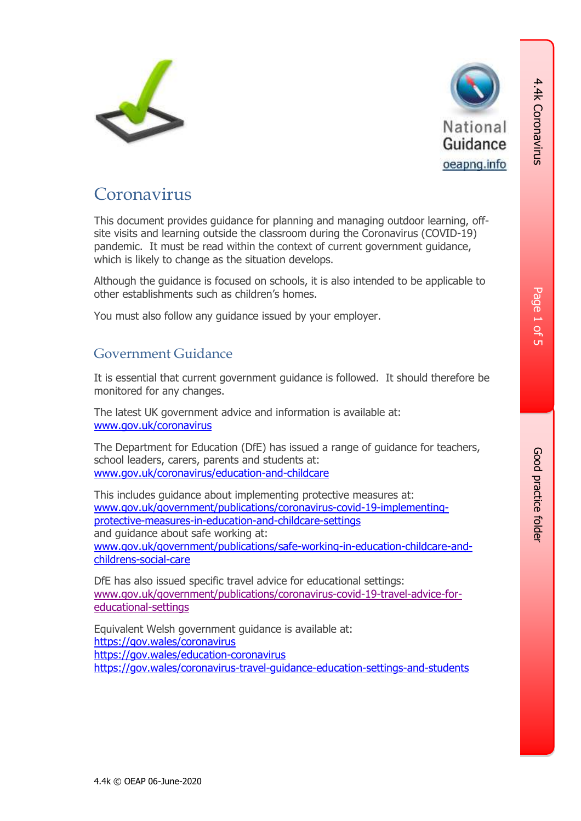



### **Coronavirus**

This document provides guidance for planning and managing outdoor learning, offsite visits and learning outside the classroom during the Coronavirus (COVID-19) pandemic. It must be read within the context of current government guidance, which is likely to change as the situation develops.

Although the guidance is focused on schools, it is also intended to be applicable to other establishments such as children's homes.

You must also follow any guidance issued by your employer.

#### Government Guidance

It is essential that current government guidance is followed. It should therefore be monitored for any changes.

The latest UK government advice and information is available at: [www.gov.uk/coronavirus](http://www.gov.uk/coronavirus)

The Department for Education (DfE) has issued a range of guidance for teachers, school leaders, carers, parents and students at: [www.gov.uk/coronavirus/education-and-childcare](https://www.gov.uk/coronavirus/education-and-childcare)

This includes guidance about implementing protective measures at: [www.gov.uk/government/publications/coronavirus-covid-19-implementing](http://www.gov.uk/government/publications/coronavirus-covid-19-implementing-protective-measures-in-education-and-childcare-settings)[protective-measures-in-education-and-childcare-settings](http://www.gov.uk/government/publications/coronavirus-covid-19-implementing-protective-measures-in-education-and-childcare-settings) and guidance about safe working at: [www.gov.uk/government/publications/safe-working-in-education-childcare-and](http://www.gov.uk/government/publications/safe-working-in-education-childcare-and-childrens-social-care)[childrens-social-care](http://www.gov.uk/government/publications/safe-working-in-education-childcare-and-childrens-social-care)

DfE has also issued specific travel advice for educational settings: [www.gov.uk/government/publications/coronavirus-covid-19-travel-advice-for](https://www.gov.uk/government/publications/coronavirus-covid-19-travel-advice-for-educational-settings)[educational-settings](https://www.gov.uk/government/publications/coronavirus-covid-19-travel-advice-for-educational-settings)

Equivalent Welsh government guidance is available at: <https://gov.wales/coronavirus> <https://gov.wales/education-coronavirus> <https://gov.wales/coronavirus-travel-guidance-education-settings-and-students> 4.4k Coronavirus

4.4k Coronavirus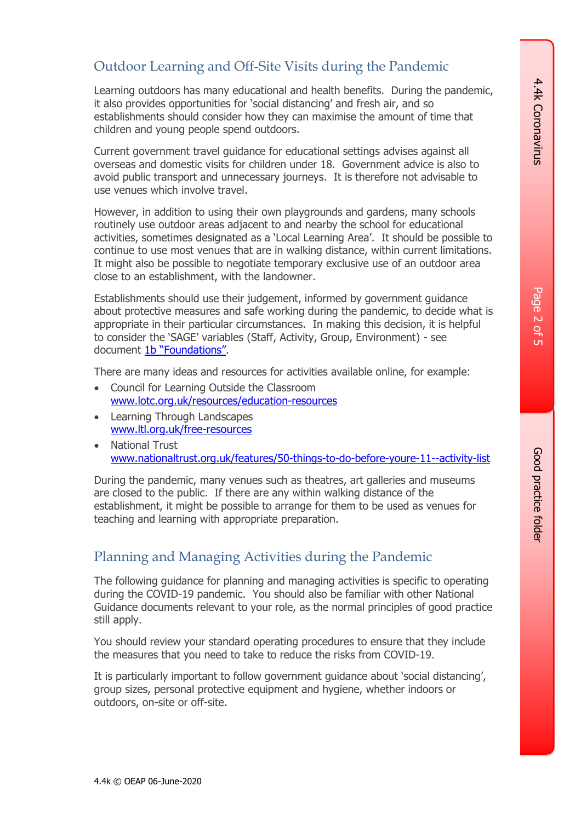## Page 2 Գ<br>տ

#### Outdoor Learning and Off-Site Visits during the Pandemic

Learning outdoors has many educational and health benefits. During the pandemic, it also provides opportunities for 'social distancing' and fresh air, and so establishments should consider how they can maximise the amount of time that children and young people spend outdoors.

Current government travel guidance for educational settings advises against all overseas and domestic visits for children under 18. Government advice is also to avoid public transport and unnecessary journeys. It is therefore not advisable to use venues which involve travel.

However, in addition to using their own playgrounds and gardens, many schools routinely use outdoor areas adjacent to and nearby the school for educational activities, sometimes designated as a 'Local Learning Area'. It should be possible to continue to use most venues that are in walking distance, within current limitations. It might also be possible to negotiate temporary exclusive use of an outdoor area close to an establishment, with the landowner.

Establishments should use their judgement, informed by government guidance about protective measures and safe working during the pandemic, to decide what is appropriate in their particular circumstances. In making this decision, it is helpful to consider the 'SAGE' variables (Staff, Activity, Group, Environment) - see document [1b "Foundations"](https://oeapng.info/downloads/download-info/1b-foundations/).

There are many ideas and resources for activities available online, for example:

- Council for Learning Outside the Classroom [www.lotc.org.uk/resources/education-resources](http://www.lotc.org.uk/resources/education-resources)
- Learning Through Landscapes [www.ltl.org.uk/free-resources](http://www.ltl.org.uk/free-resources)
- National Trust [www.nationaltrust.org.uk/features/50-things-to-do-before-youre-11--activity-list](https://www.nationaltrust.org.uk/features/50-things-to-do-before-youre-11--activity-list)

During the pandemic, many venues such as theatres, art galleries and museums are closed to the public. If there are any within walking distance of the establishment, it might be possible to arrange for them to be used as venues for teaching and learning with appropriate preparation.

#### Planning and Managing Activities during the Pandemic

The following guidance for planning and managing activities is specific to operating during the COVID-19 pandemic. You should also be familiar with other National Guidance documents relevant to your role, as the normal principles of good practice still apply.

You should review your standard operating procedures to ensure that they include the measures that you need to take to reduce the risks from COVID-19.

It is particularly important to follow government guidance about 'social distancing', group sizes, personal protective equipment and hygiene, whether indoors or outdoors, on-site or off-site.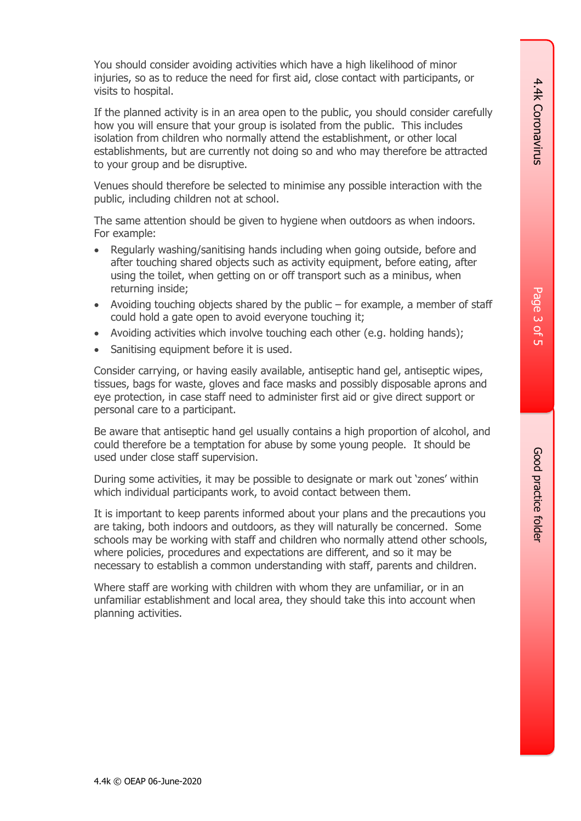Page 3 Գ<br>տ

Good practice folder Good practice folder

You should consider avoiding activities which have a high likelihood of minor injuries, so as to reduce the need for first aid, close contact with participants, or visits to hospital.

If the planned activity is in an area open to the public, you should consider carefully how you will ensure that your group is isolated from the public. This includes isolation from children who normally attend the establishment, or other local establishments, but are currently not doing so and who may therefore be attracted to your group and be disruptive.

Venues should therefore be selected to minimise any possible interaction with the public, including children not at school.

The same attention should be given to hygiene when outdoors as when indoors. For example:

- Regularly washing/sanitising hands including when going outside, before and after touching shared objects such as activity equipment, before eating, after using the toilet, when getting on or off transport such as a minibus, when returning inside;
- Avoiding touching objects shared by the public for example, a member of staff could hold a gate open to avoid everyone touching it;
- Avoiding activities which involve touching each other (e.g. holding hands);
- Sanitising equipment before it is used.

Consider carrying, or having easily available, antiseptic hand gel, antiseptic wipes, tissues, bags for waste, gloves and face masks and possibly disposable aprons and eye protection, in case staff need to administer first aid or give direct support or personal care to a participant.

Be aware that antiseptic hand gel usually contains a high proportion of alcohol, and could therefore be a temptation for abuse by some young people. It should be used under close staff supervision.

During some activities, it may be possible to designate or mark out 'zones' within which individual participants work, to avoid contact between them.

It is important to keep parents informed about your plans and the precautions you are taking, both indoors and outdoors, as they will naturally be concerned. Some schools may be working with staff and children who normally attend other schools, where policies, procedures and expectations are different, and so it may be necessary to establish a common understanding with staff, parents and children.

Where staff are working with children with whom they are unfamiliar, or in an unfamiliar establishment and local area, they should take this into account when planning activities.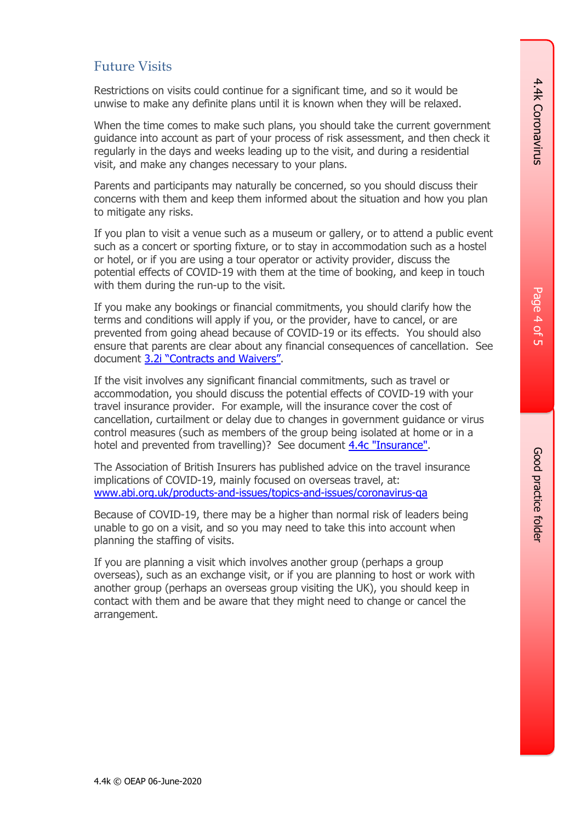#### Future Visits

Restrictions on visits could continue for a significant time, and so it would be unwise to make any definite plans until it is known when they will be relaxed.

When the time comes to make such plans, you should take the current government guidance into account as part of your process of risk assessment, and then check it regularly in the days and weeks leading up to the visit, and during a residential visit, and make any changes necessary to your plans.

Parents and participants may naturally be concerned, so you should discuss their concerns with them and keep them informed about the situation and how you plan to mitigate any risks.

If you plan to visit a venue such as a museum or gallery, or to attend a public event such as a concert or sporting fixture, or to stay in accommodation such as a hostel or hotel, or if you are using a tour operator or activity provider, discuss the potential effects of COVID-19 with them at the time of booking, and keep in touch with them during the run-up to the visit.

If you make any bookings or financial commitments, you should clarify how the terms and conditions will apply if you, or the provider, have to cancel, or are prevented from going ahead because of COVID-19 or its effects. You should also ensure that parents are clear about any financial consequences of cancellation. See document [3.2i "Contracts and Waivers"](https://oeapng.info/downloads/download-info/3-2i-contracts-and-waivers/).

If the visit involves any significant financial commitments, such as travel or accommodation, you should discuss the potential effects of COVID-19 with your travel insurance provider. For example, will the insurance cover the cost of cancellation, curtailment or delay due to changes in government guidance or virus control measures (such as members of the group being isolated at home or in a hotel and prevented from travelling)? See document [4.4c "Insurance".](https://oeapng.info/downloads/download-info/4-4c-insurance/)

The Association of British Insurers has published advice on the travel insurance implications of COVID-19, mainly focused on overseas travel, at: [www.abi.org.uk/products-and-issues/topics-and-issues/coronavirus-qa](http://www.abi.org.uk/products-and-issues/topics-and-issues/coronavirus-qa)

Because of COVID-19, there may be a higher than normal risk of leaders being unable to go on a visit, and so you may need to take this into account when planning the staffing of visits.

If you are planning a visit which involves another group (perhaps a group overseas), such as an exchange visit, or if you are planning to host or work with another group (perhaps an overseas group visiting the UK), you should keep in contact with them and be aware that they might need to change or cancel the arrangement.